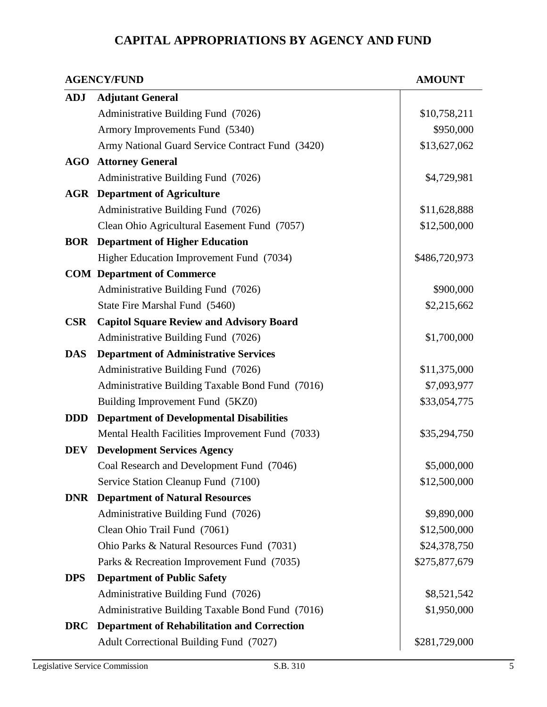## **CAPITAL APPROPRIATIONS BY AGENCY AND FUND**

## **AGENCY/FUND AMOUNT ADJ Adjutant General** Administrative Building Fund (7026) \$10,758,211 Armory Improvements Fund (5340)  $\sim$  \$950,000 Army National Guard Service Contract Fund (3420) \$13,627,062 **AGO Attorney General** Administrative Building Fund (7026) \$4,729,981 **AGR Department of Agriculture** Administrative Building Fund (7026)  $\qquad$  \$11,628,888 Clean Ohio Agricultural Easement Fund (7057) \$12,500,000 **BOR Department of Higher Education** Higher Education Improvement Fund (7034) \$486,720,973 **COM Department of Commerce** Administrative Building Fund (7026)  $\qquad \qquad$  \$900,000 State Fire Marshal Fund (5460) \$2,215,662 **CSR Capitol Square Review and Advisory Board** Administrative Building Fund (7026)  $$1,700,000$ **DAS Department of Administrative Services** Administrative Building Fund (7026)  $\qquad$  \$11,375,000 Administrative Building Taxable Bond Fund (7016) \$7,093,977 Building Improvement Fund (5KZ0) \$33,054,775 **DDD Department of Developmental Disabilities** Mental Health Facilities Improvement Fund (7033) \$35,294,750 **DEV Development Services Agency** Coal Research and Development Fund (7046)  $$5,000,000$ Service Station Cleanup Fund (7100) \$12,500,000 **DNR Department of Natural Resources** Administrative Building Fund (7026) \$9,890,000 Clean Ohio Trail Fund (7061) \$12,500,000 Ohio Parks & Natural Resources Fund (7031) \$24,378,750 Parks & Recreation Improvement Fund (7035) \$275,877,679 **DPS Department of Public Safety** Administrative Building Fund (7026) \$8,521,542 Administrative Building Taxable Bond Fund (7016) \$1,950,000 **DRC Department of Rehabilitation and Correction** Adult Correctional Building Fund (7027) \$281,729,000